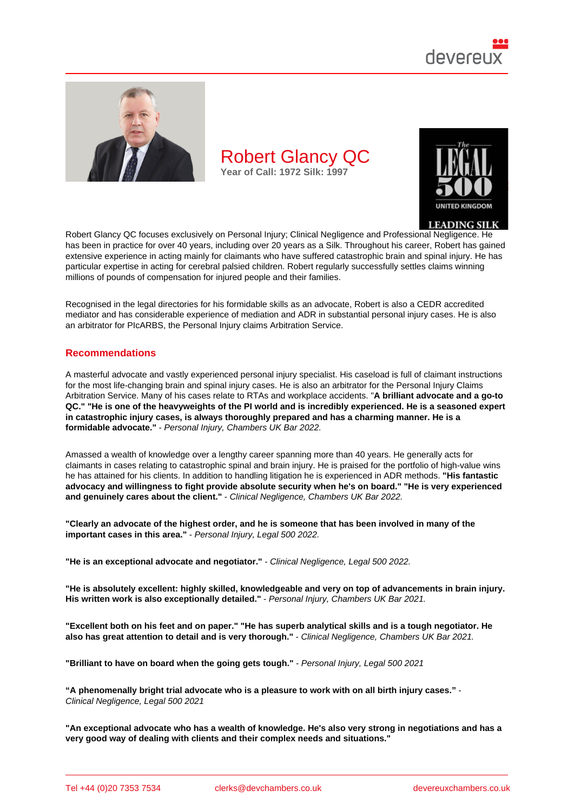

Robert Glancy QC focuses exclusively on Personal Injury; Clinical Negligence and Professional Negligence. He has been in practice for over 40 years, including over 20 years as a Silk. Throughout his career, Robert has gained extensive experience in acting mainly for claimants who have suffered catastrophic brain and spinal injury. He has particular expertise in acting for cerebral palsied children. Robert regularly successfully settles claims winning millions of pounds of compensation for injured people and their families.

Recognised in the legal directories for his formidable skills as an advocate, Robert is also a CEDR accredited mediator and has considerable experience of mediation and ADR in substantial personal injury cases. He is also an arbitrator for PIcARBS, the Personal Injury claims Arbitration Service.

### Recommendations

A masterful advocate and vastly experienced personal injury specialist. His caseload is full of claimant instructions for the most life-changing brain and spinal injury cases. He is also an arbitrator for the Personal Injury Claims Arbitration Service. Many of his cases relate to RTAs and workplace accidents. "A brilliant advocate and a go-to QC." "He is one of the heavyweights of the PI world and is incredibly experienced. He is a seasoned expert in catastrophic injury cases, is always thoroughly prepared and has a charming manner. He is a formidable advocate." - Personal Injury, Chambers UK Bar 2022.

Amassed a wealth of knowledge over a lengthy career spanning more than 40 years. He generally acts for claimants in cases relating to catastrophic spinal and brain injury. He is praised for the portfolio of high-value wins he has attained for his clients. In addition to handling litigation he is experienced in ADR methods. "His fantastic advocacy and willingness to fight provide absolute security when he's on board." "He is very experienced and genuinely cares about the client." - Clinical Negligence, Chambers UK Bar 2022.

"Clearly an advocate of the highest order, and he is someone that has been involved in many of the important cases in this area." - Personal Injury, Legal 500 2022.

"He is an exceptional advocate and negotiator." - Clinical Negligence, Legal 500 2022.

"He is absolutely excellent: highly skilled, knowledgeable and very on top of advancements in brain injury. His written work is also exceptionally detailed." - Personal Injury, Chambers UK Bar 2021.

"Excellent both on his feet and on paper." "He has superb analytical skills and is a tough negotiator. He also has great attention to detail and is very thorough." - Clinical Negligence, Chambers UK Bar 2021.

"Brilliant to have on board when the going gets tough." - Personal Injury, Legal 500 2021

"A phenomenally bright trial advocate who is a pleasure to work with on all birth injury cases." - Clinical Negligence, Legal 500 2021

"An exceptional advocate who has a wealth of knowledge. He's also very strong in negotiations and has a very good way of dealing with clients and their complex needs and situations."

Tel +44 (0)20 7353 7534 clerks@devchambers.co.uk devereuxchambers.co.uk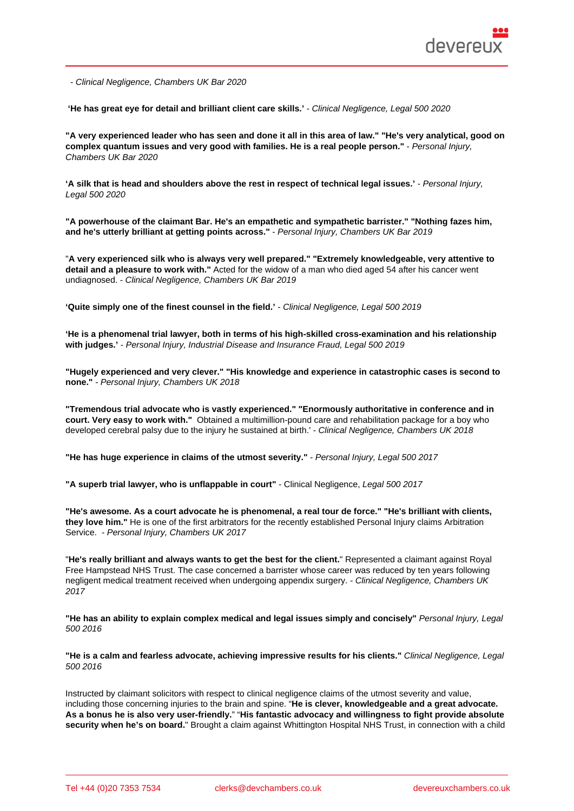- Clinical Negligence, Chambers UK Bar 2020

'He has great eye for detail and brilliant client care skills.' - Clinical Negligence, Legal 500 2020

"A very experienced leader who has seen and done it all in this area of law." "He's very analytical, good on complex quantum issues and very good with families. He is a real people person." Personal Injury, Chambers UK Bar 2020

'A silk that is head and shoulders above the rest in respect of technical legal issues.' - Personal Injury, Legal 500 2020

"A powerhouse of the claimant Bar. He's an empathetic and sympathetic barrister." "Nothing fazes him, and he's utterly brilliant at getting points across." - Personal Injury, Chambers UK Bar 2019

"A very experienced silk who is always very well prepared." "Extremely knowledgeable, very attentive to detail and a pleasure to work with." Acted for the widow of a man who died aged 54 after his cancer went undiagnosed. - Clinical Negligence, Chambers UK Bar 2019

'Quite simply one of the finest counsel in the field.' - Clinical Negligence, Legal 500 2019

'He is a phenomenal trial lawyer, both in terms of his high-skilled cross-examination and his relationship with judges.' - Personal Injury, Industrial Disease and Insurance Fraud, Legal 500 2019

"Hugely experienced and very clever." "His knowledge and experience in catastrophic cases is second to none." - Personal Injury, Chambers UK 2018

"Tremendous trial advocate who is vastly experienced." "Enormously authoritative in conference and in court. Very easy to work with." Obtained a multimillion-pound care and rehabilitation package for a boy who developed cerebral palsy due to the injury he sustained at birth.' - Clinical Negligence, Chambers UK 2018

"He has huge experience in claims of the utmost severity." - Personal Injury, Legal 500 2017

"A superb trial lawyer, who is unflappable in court" - Clinical Negligence, Legal 500 2017

"He's awesome. As a court advocate he is phenomenal, a real tour de force." "He's brilliant with clients, they love him." He is one of the first arbitrators for the recently established Personal Injury claims Arbitration Service. - Personal Injury, Chambers UK 2017

"He's really brilliant and always wants to get the best for the client. " Represented a claimant against Royal Free Hampstead NHS Trust. The case concerned a barrister whose career was reduced by ten years following negligent medical treatment received when undergoing appendix surgery. - Clinical Negligence, Chambers UK 2017

"He has an ability to explain complex medical and legal issues simply and concisely" Personal Injury, Legal 500 2016

"He is a calm and fearless advocate, achieving impressive results for his clients." Clinical Negligence, Legal 500 2016

Instructed by claimant solicitors with respect to clinical negligence claims of the utmost severity and value, including those concerning injuries to the brain and spine. "He is clever, knowledgeable and a great advocate. As a bonus he is also very user-friendly. " "His fantastic advocacy and willingness to fight provide absolute security when he's on board. " Brought a claim against Whittington Hospital NHS Trust, in connection with a child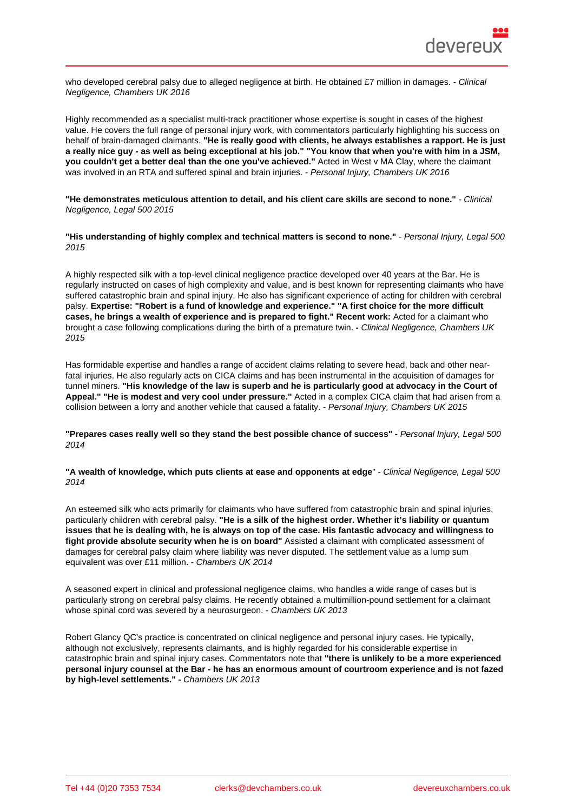who developed cerebral palsy due to alleged negligence at birth. He obtained £7 million in damages. - Clinical Negligence, Chambers UK 2016

Highly recommended as a specialist multi-track practitioner whose expertise is sought in cases of the highest value. He covers the full range of personal injury work, with commentators particularly highlighting his success on behalf of brain-damaged claimants. "He is really good with clients, he always establishes a rapport. He is just a really nice guy - as well as being exceptional at his job." "You know that when you're with him in a JSM, you couldn't get a better deal than the one you've achieved." Acted in West v MA Clay, where the claimant was involved in an RTA and suffered spinal and brain injuries. - Personal Injury, Chambers UK 2016

"He demonstrates meticulous attention to detail, and his client care skills are second to none." - Clinical Negligence, Legal 500 2015

"His understanding of highly complex and technical matters is second to none." - Personal Injury, Legal 500 2015

A highly respected silk with a top-level clinical negligence practice developed over 40 years at the Bar. He is regularly instructed on cases of high complexity and value, and is best known for representing claimants who have suffered catastrophic brain and spinal injury. He also has significant experience of acting for children with cerebral palsy. Expertise: "Robert is a fund of knowledge and experience." "A first choice for the more difficult cases, he brings a wealth of experience and is prepared to fight." Recent work: Acted for a claimant who brought a case following complications during the birth of a premature twin. - Clinical Negligence, Chambers UK 2015

Has formidable expertise and handles a range of accident claims relating to severe head, back and other nearfatal injuries. He also regularly acts on CICA claims and has been instrumental in the acquisition of damages for tunnel miners. "His knowledge of the law is superb and he is particularly good at advocacy in the Court of Appeal." "He is modest and very cool under pressure." Acted in a complex CICA claim that had arisen from a collision between a lorry and another vehicle that caused a fatality. - Personal Injury, Chambers UK 2015

"Prepares cases really well so they stand the best possible chance of success" - Personal Injury, Legal 500 2014

"A wealth of knowledge, which puts clients at ease and opponents at edge " - Clinical Negligence, Legal 500 2014

An esteemed silk who acts primarily for claimants who have suffered from catastrophic brain and spinal injuries, particularly children with cerebral palsy. "He is a silk of the highest order. Whether it's liability or quantum issues that he is dealing with, he is always on top of the case. His fantastic advocacy and willingness to fight provide absolute security when he is on board" Assisted a claimant with complicated assessment of damages for cerebral palsy claim where liability was never disputed. The settlement value as a lump sum equivalent was over £11 million. - Chambers UK 2014

A seasoned expert in clinical and professional negligence claims, who handles a wide range of cases but is particularly strong on cerebral palsy claims. He recently obtained a multimillion-pound settlement for a claimant whose spinal cord was severed by a neurosurgeon. - Chambers UK 2013

Robert Glancy QC's practice is concentrated on clinical negligence and personal injury cases. He typically, although not exclusively, represents claimants, and is highly regarded for his considerable expertise in catastrophic brain and spinal injury cases. Commentators note that "there is unlikely to be a more experienced personal injury counsel at the Bar - he has an enormous amount of courtroom experience and is not fazed by high-level settlements." - Chambers UK 2013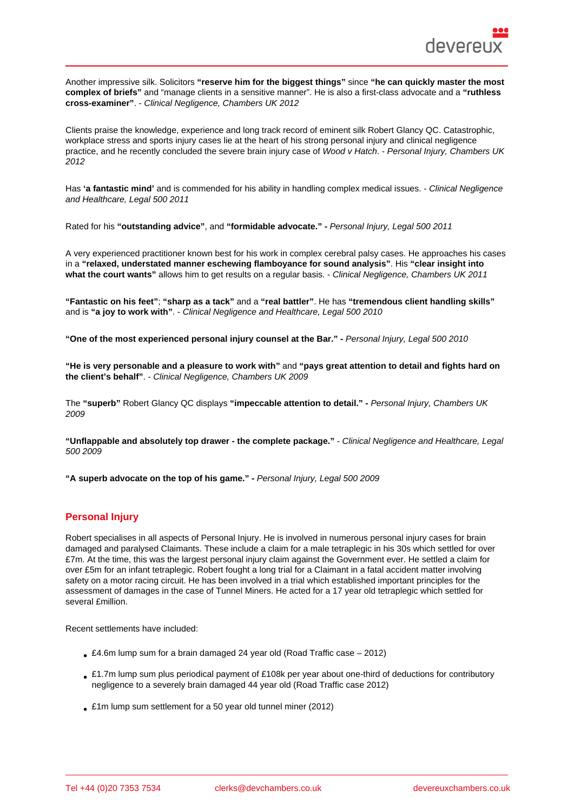Another impressive silk. Solicitors "reserve him for the biggest things" since "he can quickly master the most complex of briefs" and "manage clients in a sensitive manner". He is also a first-class advocate and a "ruthless cross-examiner" . - Clinical Negligence, Chambers UK 2012

Clients praise the knowledge, experience and long track record of eminent silk Robert Glancy QC. Catastrophic, workplace stress and sports injury cases lie at the heart of his strong personal injury and clinical negligence practice, and he recently concluded the severe brain injury case of Wood v Hatch. - Personal Injury, Chambers UK 2012

Has 'a fantastic mind' and is commended for his ability in handling complex medical issues. - Clinical Negligence and Healthcare, Legal 500 2011

Rated for his "outstanding advice" , and "formidable advocate." - Personal Injury, Legal 500 2011

A very experienced practitioner known best for his work in complex cerebral palsy cases. He approaches his cases in a "relaxed, understated manner eschewing flamboyance for sound analysis" . His "clear insight into what the court wants" allows him to get results on a regular basis. - Clinical Negligence, Chambers UK 2011

"Fantastic on his feet" ; "sharp as a tack" and a "real battler" . He has "tremendous client handling skills" and is "a joy to work with" . - Clinical Negligence and Healthcare, Legal 500 2010

"O ne of the most experienced personal injury counsel at the Bar." - Personal Injury, Legal 500 2010

"He is very personable and a pleasure to work with" and "pays great attention to detail and fights hard on the client's behalf" . - Clinical Negligence, Chambers UK 2009

The "superb" Robert Glancy QC displays "impeccable attention to detail." - Personal Injury, Chambers UK 2009

"Unflappable and absolutely top drawer - the complete package." - Clinical Negligence and Healthcare, Legal 500 2009

```
"A superb advocate on the top of his game." - Personal Injury, Legal 500 2009
```
## Personal Injury

Robert specialises in all aspects of Personal Injury. He is involved in numerous personal injury cases for brain damaged and paralysed Claimants. These include a claim for a male tetraplegic in his 30s which settled for over £7m. At the time, this was the largest personal injury claim against the Government ever. He settled a claim for over £5m for an infant tetraplegic. Robert fought a long trial for a Claimant in a fatal accident matter involving safety on a motor racing circuit. He has been involved in a trial which established important principles for the assessment of damages in the case of Tunnel Miners. He acted for a 17 year old tetraplegic which settled for several £million.

Recent settlements have included:

- £4.6m lump sum for a brain damaged 24 year old (Road Traffic case 2012)
- £1.7m lump sum plus periodical payment of £108k per year about one-third of deductions for contributory negligence to a severely brain damaged 44 year old (Road Traffic case 2012)
- £1m lump sum settlement for a 50 year old tunnel miner (2012)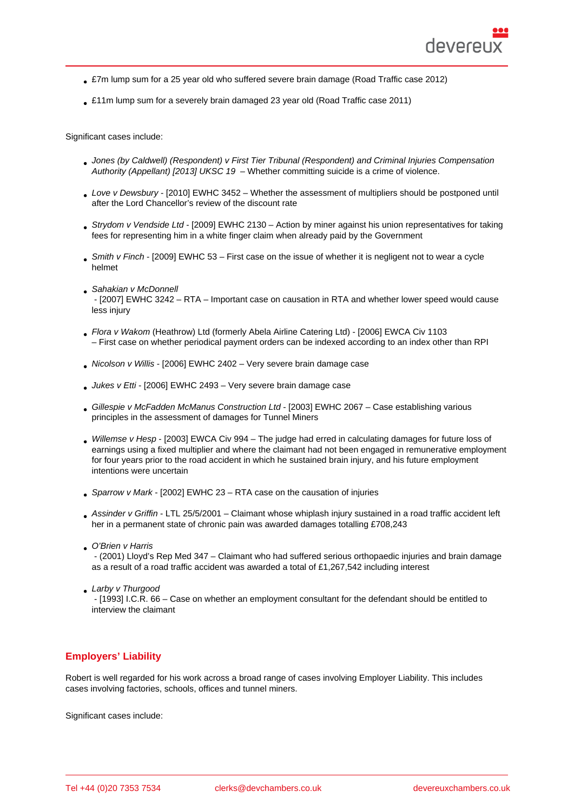- £7m lump sum for a 25 year old who suffered severe brain damage (Road Traffic case 2012)
- £11m lump sum for a severely brain damaged 23 year old (Road Traffic case 2011)

Significant cases include:

- Jones (by Caldwell) (Respondent) v First Tier Tribunal (Respondent) and Criminal Injuries Compensation Authority (Appellant) [2013] UKSC 19 – Whether committing suicide is a crime of violence.
- Love v Dewsbury [2010] EWHC 3452 Whether the assessment of multipliers should be postponed until [after the Lord Chancellor's review of the discount rate](http://bit.ly/2ICP0VZ)
- [Strydom v Vendside Ltd \[2009\] EWH](http://bit.ly/2ICP0VZ)C 2130 Action by miner against his union representatives for taking fees for representing him in a white finger claim when already paid by the Government
- Smith v Finch [2009] EWHC 53 First case on the issue of whether it is negligent not to wear a cycle [helmet](http://bit.ly/2TKobWt)
- Sahakian v McDonnell
- [2007] EWHC 3242 RTA Important case on causation in RTA and whether lower speed would cause less injury
- Flora v Wakom (Heathrow) Ltd (formerly Abela Airline Catering Ltd) [2006] EWCA Civ 1103 – First case on whether periodical payment orders can be indexed according to an index other than RPI
- Nicolson v Willis [2006] EWHC 2402 Very severe brain damage case
- [Jukes v Etti \[2006\] EWHC 2493 Very severe brain damage case](http://bit.ly/2vOcjJV)
- Gillespie v McFadden McManus Construction Ltd [2003] EWHC 2067 Case establishing various principles in the assessment of damages for Tunnel Miners
- Willemse v Hesp [2003] EWCA Civ 994 The judge had erred in calculating damages for future loss of earnings using a fixed multiplier and where the claimant had not been engaged in remunerative employment for four years prior to the road accident in which he sustained brain injury, and his future employment intentions were uncertain
- [Sparrow v Mark \[2002\]](http://bit.ly/3aQds27) EWHC 23 RTA case on the causation of injuries
- Assinder v Griffin LTL 25/5/2001 Claimant whose whiplash injury sustained in a road traffic accident left her in a permanent state of chronic pain was awarded damages totalling £708,243
- O'Brien v Harris - (2001) Lloyd's Rep Med 347 – Claimant who had suffered serious orthopaedic injuries and brain damage as a result of a road traffic accident was awarded a total of £1,267,542 including interest
- **Larby v Thurgood**

 - [1993] I.C.R. 66 – Case on whether an employment consultant for the defendant should be entitled to interview the claimant

## Employers' Liability

Robert is well regarded for his work across a broad range of cases involving Employer Liability. This includes cases involving factories, schools, offices and tunnel miners.

Significant cases include: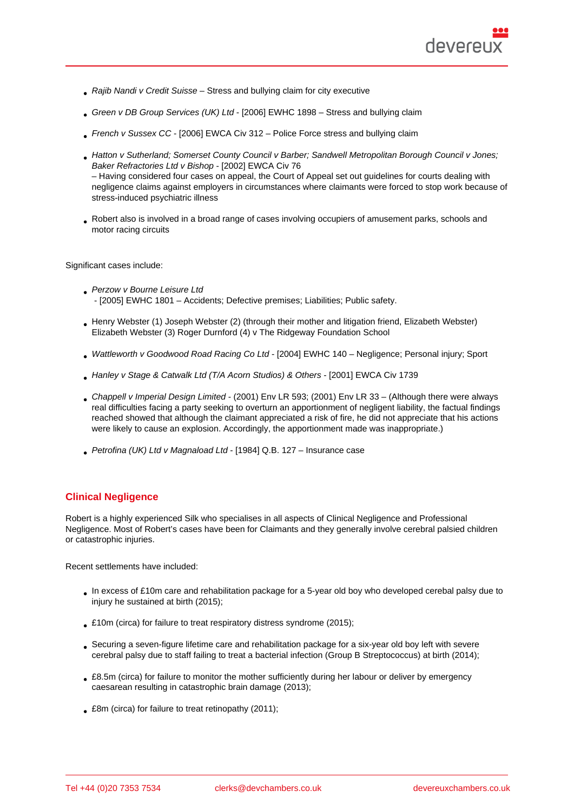- Rajib Nandi v Credit Suisse Stress and bullying claim for city executive
- Green v DB Group Services (UK) Ltd [2006] EWHC 1898 Stress and bullying claim
- French v Sussex CC [2006] EWCA Civ 312 Police Force stress and bullying claim
- [Hatton v Sutherland; Somerset Count](http://bit.ly/2IG4I2S)y Council v Barber; Sandwell Metropolitan Borough Council v Jones; Baker Refractories Ltd v Bishop - [2002] EWCA Civ 76 [– Having considered four](http://bit.ly/2xvuhRN) cases on appeal, the Court of Appeal set out guidelines for courts dealing with negligence claims against employers in circumstances where claimants were forced to stop work because of [stress-induced psychiatric illness](http://bit.ly/3cZL3ZE)
- [Robert also is involved in a broa](http://bit.ly/3cZL3ZE)d range of cases involving occupiers of amusement parks, schools and motor racing circuits

Significant cases include:

- **Perzow v Bourne Leisure Ltd** - [2005] EWHC 1801 – Accidents; Defective premises; Liabilities; Public safety.
- Henry Webster (1) Joseph Webster (2) (through their mother and litigation friend, Elizabeth Webster) Elizabeth Webster (3) Roger Durnford (4) v The Ridgeway Foundation School
- Wattleworth v Goodwood Road Racing Co Ltd [2004] EWHC 140 Negligence; Personal injury; Sport
- Hanley v Stage & Catwalk Ltd (T/A Acorn Studios) & Others [2001] EWCA Civ 1739
- [Chappell v Imperial Design Limited \(2001\) En](http://bit.ly/39Mu1vW)v LR 593; (2001) Env LR 33 (Although there were always real difficulties facing a party seeking to overturn an apportionment of negligent liability, the factual findings [reached showed that although the claimant appreciated a ris](http://bit.ly/38CsXcE)k of fire, he did not appreciate that his actions were likely to cause an explosion. Accordingly, the apportionment made was inappropriate.)
- Petrofina (UK) Ltd v Magnaload Ltd [1984] Q.B. 127 Insurance case

## Clinical Negligence

Robert is a highly experienced Silk who specialises in all aspects of Clinical Negligence and Professional Negligence. Most of Robert's cases have been for Claimants and they generally involve cerebral palsied children or catastrophic injuries.

Recent settlements have included:

- In excess of £10m care and rehabilitation package for a 5-year old boy who developed cerebal palsy due to injury he sustained at birth (2015);
- £10m (circa) for failure to treat respiratory distress syndrome (2015);
- Securing a seven-figure lifetime care and rehabilitation package for a six-year old boy left with severe cerebral palsy due to staff failing to treat a bacterial infection (Group B Streptococcus) at birth (2014);
- £8.5m (circa) for failure to monitor the mother sufficiently during her labour or deliver by emergency caesarean resulting in catastrophic brain damage (2013);
- £8m (circa) for failure to treat retinopathy (2011);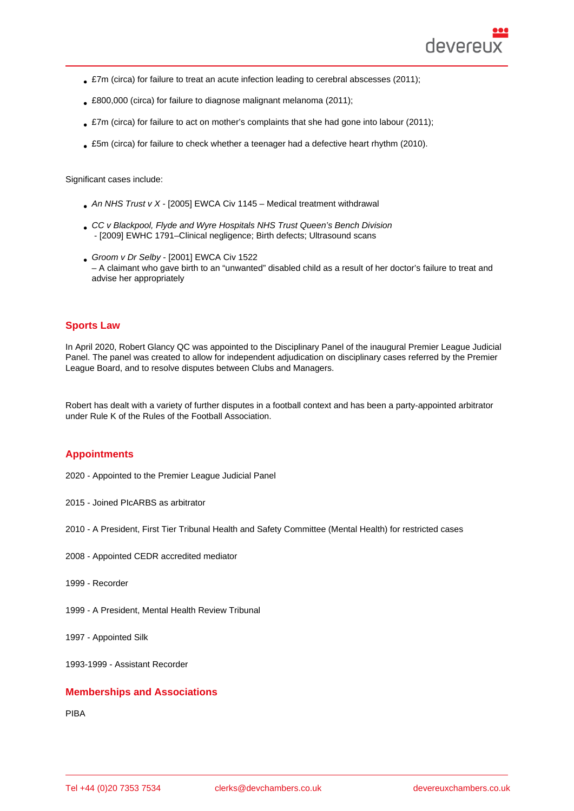- £7m (circa) for failure to treat an acute infection leading to cerebral abscesses (2011);
- £800,000 (circa) for failure to diagnose malignant melanoma (2011);
- £7m (circa) for failure to act on mother's complaints that she had gone into labour (2011);
- £5m (circa) for failure to check whether a teenager had a defective heart rhythm (2010).

Significant cases include:

- An NHS Trust v X [2005] EWCA Civ 1145 Medical treatment withdrawal
- CC v Blackpool, Flyde and Wyre Hospitals NHS Trust Queen's Bench Division - [2009] EWHC 1791–Clinical negligence; Birth defects; Ultrasound scans
- [Groom v Dr Selby \[2001\]](http://bit.ly/2vdjgUt) EWCA Civ 1522 – A claimant who gave birth to an "unwanted" disabled child as a result of her doctor's failure to treat and advise her appropriately

## Sports Law

In April 2020, Robert Glancy QC was appointed to the Disciplinary Panel of the inaugural Premier League Judicial Panel. The panel was created to allow for independent adjudication on disciplinary cases referred by the Premier League Board, and to resolve disputes between Clubs and Managers.

Robert has dealt with a variety of further disputes in a football context and has been a party-appointed arbitrator under Rule K of the Rules of the Football Association.

## **Appointments**

- 2020 Appointed to the Premier League Judicial Panel
- 2015 Joined PIcARBS as arbitrator
- 2010 A President, First Tier Tribunal Health and Safety Committee (Mental Health) for restricted cases
- 2008 Appointed CEDR accredited mediator
- 1999 Recorder
- 1999 A President, Mental Health Review Tribunal
- 1997 Appointed Silk
- 1993-1999 Assistant Recorder

#### Memberships and Associations

PIBA